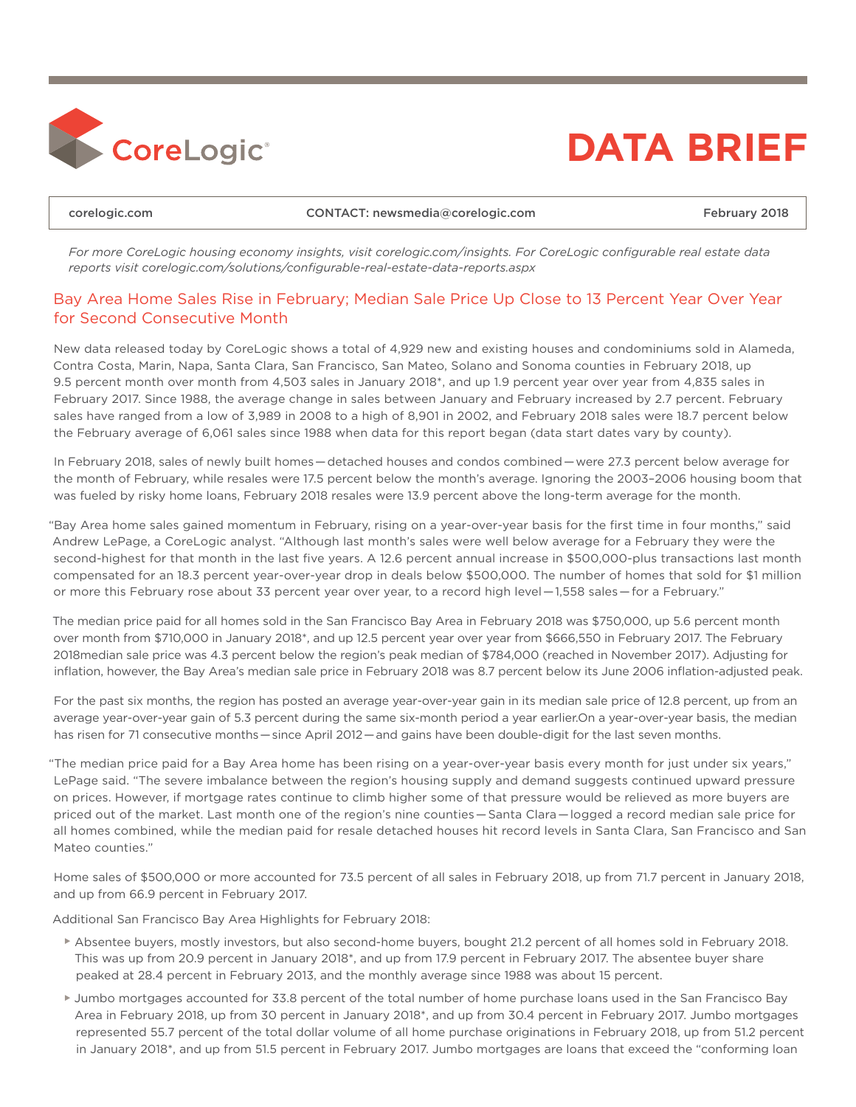

## **DATA BRIEF**

[corelogic.com](http://www.corelogic.com) CONTACT: [newsmedia@corelogic.com](mailto:newsmedia%40corelogic.com?subject=) February 2018

*For more CoreLogic housing economy insights, visit [corelogic.com/insights](http://www.corelogic.com/insights). For CoreLogic configurable real estate data reports visit [corelogic.com/solutions/configurable-real-estate-data-reports.aspx](http://www.corelogic.com/solutions/configurable-real-estate-data-reports.aspx)*

## Bay Area Home Sales Rise in February; Median Sale Price Up Close to 13 Percent Year Over Year for Second Consecutive Month

New data released today by CoreLogic shows a total of 4,929 new and existing houses and condominiums sold in Alameda, Contra Costa, Marin, Napa, Santa Clara, San Francisco, San Mateo, Solano and Sonoma counties in February 2018, up 9.5 percent month over month from 4,503 sales in January 2018\*, and up 1.9 percent year over year from 4,835 sales in February 2017. Since 1988, the average change in sales between January and February increased by 2.7 percent. February sales have ranged from a low of 3,989 in 2008 to a high of 8,901 in 2002, and February 2018 sales were 18.7 percent below the February average of 6,061 sales since 1988 when data for this report began (data start dates vary by county).

In February 2018, sales of newly built homes—detached houses and condos combined—were 27.3 percent below average for the month of February, while resales were 17.5 percent below the month's average. Ignoring the 2003–2006 housing boom that was fueled by risky home loans, February 2018 resales were 13.9 percent above the long-term average for the month.

"Bay Area home sales gained momentum in February, rising on a year-over-year basis for the first time in four months," said Andrew LePage, a CoreLogic analyst. "Although last month's sales were well below average for a February they were the second-highest for that month in the last five years. A 12.6 percent annual increase in \$500,000-plus transactions last month compensated for an 18.3 percent year-over-year drop in deals below \$500,000. The number of homes that sold for \$1 million or more this February rose about 33 percent year over year, to a record high level—1,558 sales—for a February."

The median price paid for all homes sold in the San Francisco Bay Area in February 2018 was \$750,000, up 5.6 percent month over month from \$710,000 in January 2018\*, and up 12.5 percent year over year from \$666,550 in February 2017. The February 2018median sale price was 4.3 percent below the region's peak median of \$784,000 (reached in November 2017). Adjusting for inflation, however, the Bay Area's median sale price in February 2018 was 8.7 percent below its June 2006 inflation-adjusted peak.

For the past six months, the region has posted an average year-over-year gain in its median sale price of 12.8 percent, up from an average year-over-year gain of 5.3 percent during the same six-month period a year earlier.On a year-over-year basis, the median has risen for 71 consecutive months—since April 2012—and gains have been double-digit for the last seven months.

"The median price paid for a Bay Area home has been rising on a year-over-year basis every month for just under six years," LePage said. "The severe imbalance between the region's housing supply and demand suggests continued upward pressure on prices. However, if mortgage rates continue to climb higher some of that pressure would be relieved as more buyers are priced out of the market. Last month one of the region's nine counties—Santa Clara—logged a record median sale price for all homes combined, while the median paid for resale detached houses hit record levels in Santa Clara, San Francisco and San Mateo counties."

Home sales of \$500,000 or more accounted for 73.5 percent of all sales in February 2018, up from 71.7 percent in January 2018, and up from 66.9 percent in February 2017.

Additional San Francisco Bay Area Highlights for February 2018:

- ► Absentee buyers, mostly investors, but also second-home buyers, bought 21.2 percent of all homes sold in February 2018. This was up from 20.9 percent in January 2018\*, and up from 17.9 percent in February 2017. The absentee buyer share peaked at 28.4 percent in February 2013, and the monthly average since 1988 was about 15 percent.
- ► Jumbo mortgages accounted for 33.8 percent of the total number of home purchase loans used in the San Francisco Bay Area in February 2018, up from 30 percent in January 2018\*, and up from 30.4 percent in February 2017. Jumbo mortgages represented 55.7 percent of the total dollar volume of all home purchase originations in February 2018, up from 51.2 percent in January 2018\*, and up from 51.5 percent in February 2017. Jumbo mortgages are loans that exceed the "conforming loan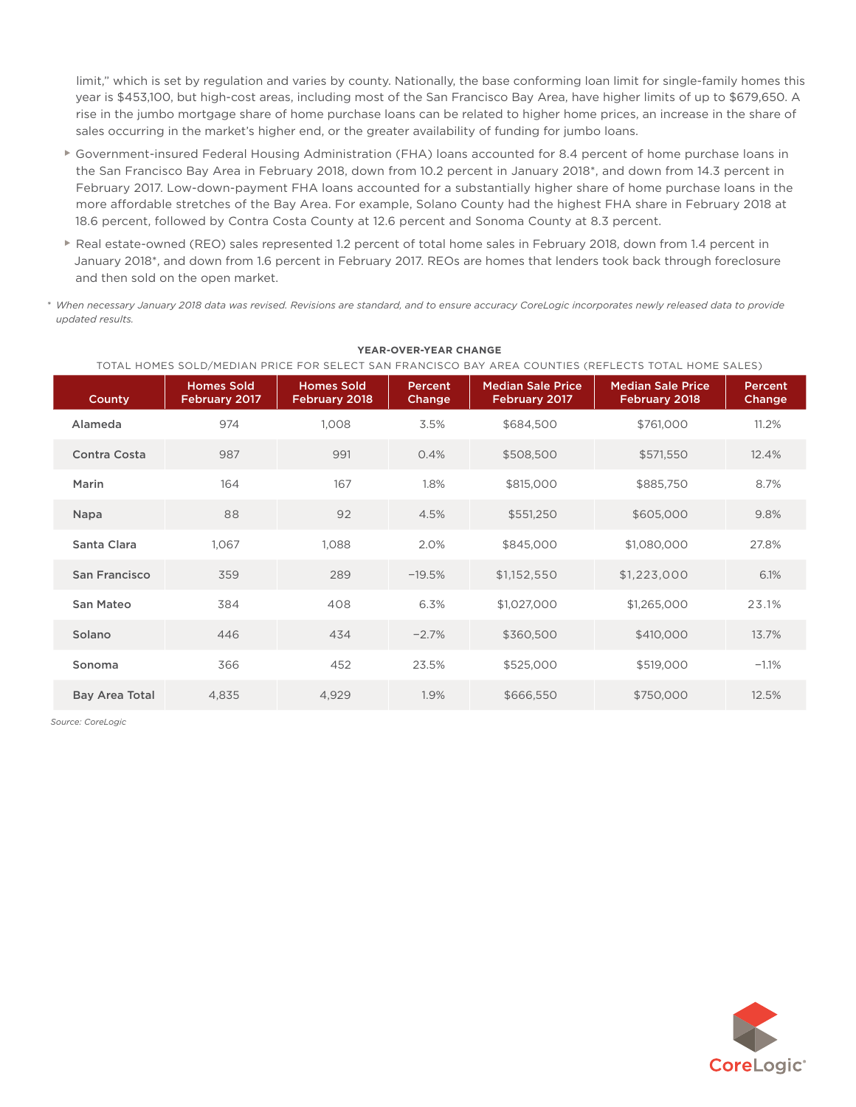limit," which is set by regulation and varies by county. Nationally, the base conforming loan limit for single-family homes this year is \$453,100, but high-cost areas, including most of the San Francisco Bay Area, have higher limits of up to \$679,650. A rise in the jumbo mortgage share of home purchase loans can be related to higher home prices, an increase in the share of sales occurring in the market's higher end, or the greater availability of funding for jumbo loans.

- ► Government-insured Federal Housing Administration (FHA) loans accounted for 8.4 percent of home purchase loans in the San Francisco Bay Area in February 2018, down from 10.2 percent in January 2018\*, and down from 14.3 percent in February 2017. Low-down-payment FHA loans accounted for a substantially higher share of home purchase loans in the more affordable stretches of the Bay Area. For example, Solano County had the highest FHA share in February 2018 at 18.6 percent, followed by Contra Costa County at 12.6 percent and Sonoma County at 8.3 percent.
- ► Real estate-owned (REO) sales represented 1.2 percent of total home sales in February 2018, down from 1.4 percent in January 2018\*, and down from 1.6 percent in February 2017. REOs are homes that lenders took back through foreclosure and then sold on the open market.
- *\* When necessary January 2018 data was revised. Revisions are standard, and to ensure accuracy CoreLogic incorporates newly released data to provide updated results.*

| TOTAL HOMES SOLD/MEDIAN PRICE FOR SELECT SAN FRANCISCO BAY AREA COUNTIES (REFLECTS TOTAL HOME SALES) |                                    |                                    |                   |                                           |                                           |                   |  |  |  |
|------------------------------------------------------------------------------------------------------|------------------------------------|------------------------------------|-------------------|-------------------------------------------|-------------------------------------------|-------------------|--|--|--|
| County                                                                                               | <b>Homes Sold</b><br>February 2017 | <b>Homes Sold</b><br>February 2018 | Percent<br>Change | <b>Median Sale Price</b><br>February 2017 | <b>Median Sale Price</b><br>February 2018 | Percent<br>Change |  |  |  |
| Alameda                                                                                              | 974                                | 1,008                              | 3.5%              | \$684,500                                 | \$761,000                                 | 11.2%             |  |  |  |
| Contra Costa                                                                                         | 987                                | 991                                | 0.4%              | \$508,500                                 | \$571,550                                 | 12.4%             |  |  |  |
| Marin                                                                                                | 164                                | 167                                | 1.8%              | \$815,000                                 | \$885,750                                 | 8.7%              |  |  |  |
| Napa                                                                                                 | 88                                 | 92                                 | 4.5%              | \$551,250                                 | \$605,000                                 | 9.8%              |  |  |  |
| Santa Clara                                                                                          | 1,067                              | 1,088                              | 2.0%              | \$845,000                                 | \$1,080,000                               | 27.8%             |  |  |  |
| San Francisco                                                                                        | 359                                | 289                                | $-19.5%$          | \$1,152,550                               | \$1,223,000                               | 6.1%              |  |  |  |
| San Mateo                                                                                            | 384                                | 408                                | 6.3%              | \$1,027,000                               | \$1,265,000                               | 23.1%             |  |  |  |
| Solano                                                                                               | 446                                | 434                                | $-2.7%$           | \$360,500                                 | \$410,000                                 | 13.7%             |  |  |  |
| Sonoma                                                                                               | 366                                | 452                                | 23.5%             | \$525,000                                 | \$519,000                                 | $-1.1%$           |  |  |  |
| <b>Bay Area Total</b>                                                                                | 4,835                              | 4,929                              | 1.9%              | \$666,550                                 | \$750,000                                 | 12.5%             |  |  |  |

## **YEAR-OVER-YEAR CHANGE**

*Source: CoreLogic*